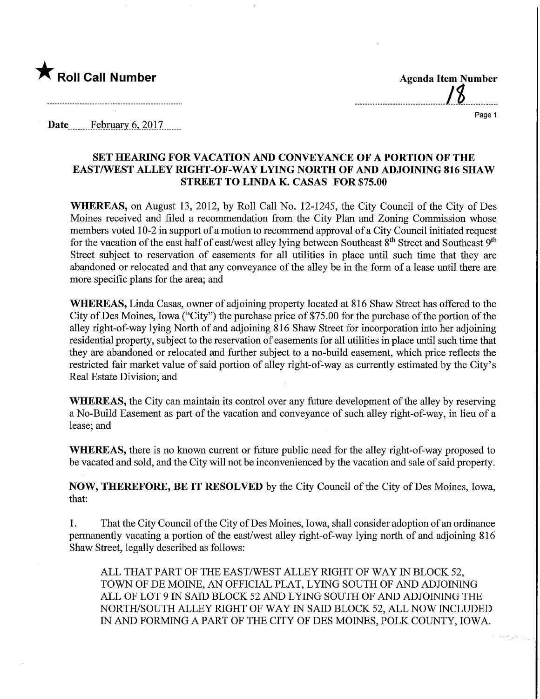

Date February 6, 2017

## SET HEARING FOR VACATION AND CONVEYANCE OF A PORTION OF THE EASTAVEST ALLEY RIGHT-OF-WAY LYING NORTH OF AND ADJOINING 816 SHAW STREET TO LINDA K. CASAS FOR \$75.00

WHEREAS, on August 13, 2012, by Roll Call No. 12-1245, the City Council of the City of Des Moines received and filed a recommendation from the City Plan and Zoning Commission whose members voted 10-2 in support of a motion to recommend approval of a City Council initiated request for the vacation of the east half of east/west alley lying between Southeast 8<sup>th</sup> Street and Southeast 9<sup>th</sup> Street subject to reservation of easements for all utilities in place until such time that they are abandoned or relocated and that any conveyance of the alley be in the form of a lease until there are more specific plans for the area; and

WHEREAS, Linda Casas, owner of adjoining property located at 816 Shaw Street has offered to the City of Des Moines, Iowa ("City") the purchase price of \$75.00 for the purchase of the portion of the alley right-of-way lying North of and adjoining 816 Shaw Street for incorporation into her adjoining residential property, subject to the reservation of easements for all utilities in place until such time that they are abandoned or relocated and further subject to a no-build easement, which price reflects the restricted fair market value of said portion of alley right-of-way as currently estimated by the City's Real Estate Division; and

WHEREAS, the City can maintain its control over any future development of the alley by reserving a No-Build Easement as part of the vacation and conveyance of such alley right-of-way, in lieu of a lease; and

WHEREAS, there is no known current or future public need for the alley right-of-way proposed to be vacated and sold, and the City will not be inconvenienced by the vacation and sale of said property.

NOW, THEREFORE, BE IT RESOLVED by the City Council of the City of Des Moines, Iowa, that:

1. That the City Council of the City ofDes Moines, Iowa, shall consider adoption of an ordinance permanently vacating a portion of the east/west alley right-of-way lying north of and adjoining 816 Shaw Street, legally described as follows:

ALL THAT PART OF THE EAST/WEST ALLEY RIGHT OF WAY IN BLOCK 52, TOWN OF DE MOINE, AN OFFICIAL PLAT, LYING SOUTH OF AND ADJOINING ALL OF LOT 9 IN SAID BLOCK 52 AND LYING SOUTH OF AND ADJOINING THE NORTH/SOUTH ALLEY RIGHT OF WAY IN SAID BLOCK 52, ALL NOW INCLUDED IN AND FORMING A PART OF THE CITY OF DES MOINES, POLK COUNTY, IOWA.

Page 1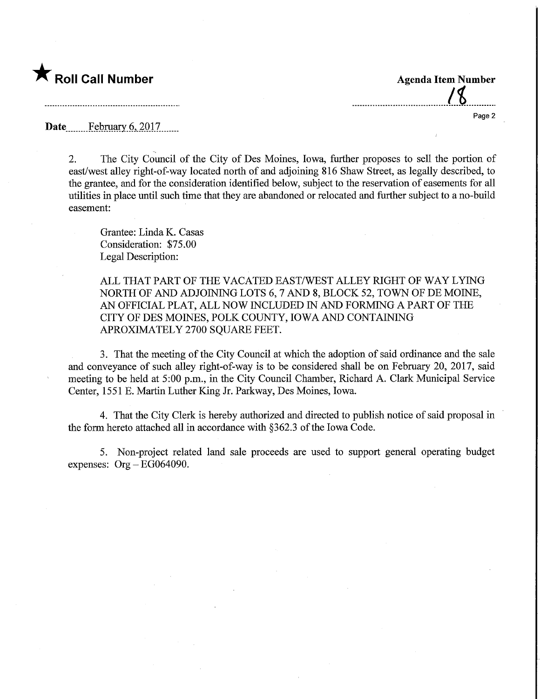## $\bigstar$  Roll Call Number  $\bigstar$  Agenda Item Number

Page 2

Date February 6, 2017

2. The City Council of the City of Des Moines, Iowa, further proposes to sell the portion of east/west alley right-of-way located north of and adjoining 816 Shaw Street, as legally described, to the grantee, and for the consideration identified below, subject to the reservation of easements for all utilities in place until such time that they are abandoned or relocated and further subject to a no-build easement:

Grantee: Linda K. Casas Consideration: \$75.00 Legal Description:

ALL THAT PART OF THE VACATED EAST/WEST ALLEY RIGHT OF WAY LYING NORTH OF AND ADJOINING LOTS 6, 7 AND 8, BLOCK 52, TOWN OF DE MOINE, AN OFFICIAL PLAT, ALL NOW INCLUDED IN AND FORMING A PART OF THE CITY OF DES MOINES, POLK COUNTY, IOWA AND CONTAINING APROXIMATELY 2700 SQUARE FEET.

3. That the meeting of the City Council at which the adoption of said ordinance and the sale and conveyance of such alley right-of-way is to be considered shall be on February 20, 2017, said meeting to be held at 5:00 p.m., in the City Council Chamber, Richard A. Clark Municipal Service Center, 1551 E. Martin Luther King Jr. Parkway, Des Moines, Iowa.

4. That the City Clerk is hereby authorized and directed to publish notice of said proposal in the form hereto attached all in accordance with §362.3 of the Iowa Code.

5. Non-project related land sale proceeds are used to support general operating budget expenses:  $Org - EG064090$ .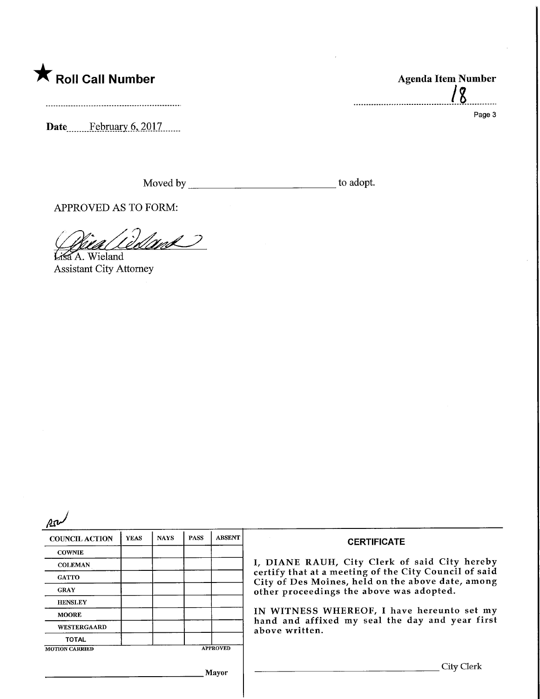## **K** Roll Call Number

Date<sub>........</sub>February 6, 2017.......

Moved by to adopt.

APPROVED AS TO FORM:

 $\mathscr{M}$ 

Lisa A. Wieland Assistant City Attorney

| <b>COUNCIL ACTION</b>                    | <b>YEAS</b> | <b>NAYS</b> | <b>PASS</b> | <b>ABSENT</b> | <b>CERTIFICATE</b>                                                                                         |  |  |
|------------------------------------------|-------------|-------------|-------------|---------------|------------------------------------------------------------------------------------------------------------|--|--|
| <b>COWNIE</b>                            |             |             |             |               | I, DIANE RAUH, City Clerk of said City hereby                                                              |  |  |
| <b>COLEMAN</b>                           |             |             |             |               |                                                                                                            |  |  |
| <b>GATTO</b>                             |             |             |             |               | certify that at a meeting of the City Council of said<br>City of Des Moines, held on the above date, among |  |  |
| <b>GRAY</b>                              |             |             |             |               | other proceedings the above was adopted.                                                                   |  |  |
| <b>HENSLEY</b>                           |             |             |             |               |                                                                                                            |  |  |
| <b>MOORE</b>                             |             |             |             |               | IN WITNESS WHEREOF, I have hereunto set my<br>hand and affixed my seal the day and year first              |  |  |
| <b>WESTERGAARD</b>                       |             |             |             |               | above written.                                                                                             |  |  |
| <b>TOTAL</b>                             |             |             |             |               |                                                                                                            |  |  |
| <b>APPROVED</b><br><b>MOTION CARRIED</b> |             |             |             |               |                                                                                                            |  |  |
| Mavor                                    |             |             |             |               | City Clerk                                                                                                 |  |  |

Agenda Item Number

Page 3